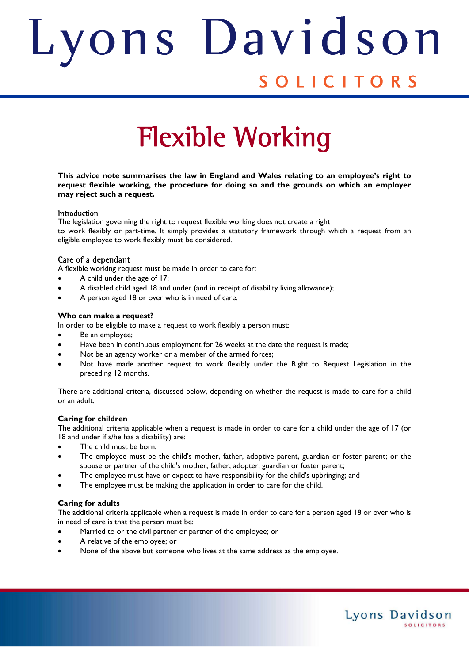# ons Davids Judith SOLICITORS

# Flexible Working

**This advice note summarises the law in England and Wales relating to an employee's right to request flexible working, the procedure for doing so and the grounds on which an employer may reject such a request.** 

#### **Introduction**

The legislation governing the right to request flexible working does not create a right to work flexibly or part-time. It simply provides a statutory framework through which a request from an eligible employee to work flexibly must be considered.

# Care of a dependant

A flexible working request must be made in order to care for:

- A child under the age of 17;
- A disabled child aged 18 and under (and in receipt of disability living allowance);
- A person aged 18 or over who is in need of care.

# **Who can make a request?**

In order to be eligible to make a request to work flexibly a person must:

- Be an employee;
- Have been in continuous employment for 26 weeks at the date the request is made;
- Not be an agency worker or a member of the armed forces;
- Not have made another request to work flexibly under the Right to Request Legislation in the preceding 12 months.

There are additional criteria, discussed below, depending on whether the request is made to care for a child or an adult.

# **Caring for children**

The additional criteria applicable when a request is made in order to care for a child under the age of 17 (or 18 and under if s/he has a disability) are:

- The child must be born;
- The employee must be the child's mother, father, adoptive parent, guardian or foster parent; or the spouse or partner of the child's mother, father, adopter, guardian or foster parent;
- The employee must have or expect to have responsibility for the child's upbringing; and
- The employee must be making the application in order to care for the child.

# **Caring for adults**

The additional criteria applicable when a request is made in order to care for a person aged 18 or over who is in need of care is that the person must be:

Lyons Davidson

**SOLICITORS** 

- Married to or the civil partner or partner of the employee; or
- A relative of the employee; or
- None of the above but someone who lives at the same address as the employee.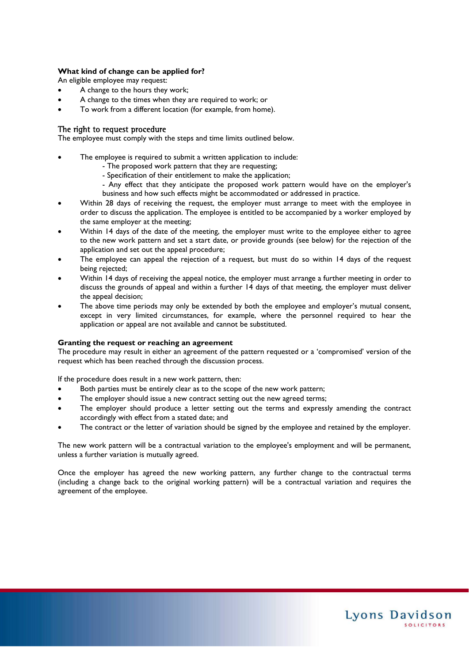# **What kind of change can be applied for?**

An eligible employee may request:

- A change to the hours they work;
- A change to the times when they are required to work; or
- To work from a different location (for example, from home).

# The right to request procedure

The employee must comply with the steps and time limits outlined below.

- The employee is required to submit a written application to include:
	- The proposed work pattern that they are requesting;
	- Specification of their entitlement to make the application;
	- Any effect that they anticipate the proposed work pattern would have on the employer's business and how such effects might be accommodated or addressed in practice.
- Within 28 days of receiving the request, the employer must arrange to meet with the employee in order to discuss the application. The employee is entitled to be accompanied by a worker employed by the same employer at the meeting;
- Within 14 days of the date of the meeting, the employer must write to the employee either to agree to the new work pattern and set a start date, or provide grounds (see below) for the rejection of the application and set out the appeal procedure;
- The employee can appeal the rejection of a request, but must do so within 14 days of the request being rejected;
- Within 14 days of receiving the appeal notice, the employer must arrange a further meeting in order to discuss the grounds of appeal and within a further 14 days of that meeting, the employer must deliver the appeal decision;
- The above time periods may only be extended by both the employee and employer's mutual consent, except in very limited circumstances, for example, where the personnel required to hear the application or appeal are not available and cannot be substituted.

#### **Granting the request or reaching an agreement**

The procedure may result in either an agreement of the pattern requested or a 'compromised' version of the request which has been reached through the discussion process.

If the procedure does result in a new work pattern, then:

- Both parties must be entirely clear as to the scope of the new work pattern;
- The employer should issue a new contract setting out the new agreed terms;
- The employer should produce a letter setting out the terms and expressly amending the contract accordingly with effect from a stated date; and
- The contract or the letter of variation should be signed by the employee and retained by the employer.

The new work pattern will be a contractual variation to the employee's employment and will be permanent, unless a further variation is mutually agreed.

Once the employer has agreed the new working pattern, any further change to the contractual terms (including a change back to the original working pattern) will be a contractual variation and requires the agreement of the employee.

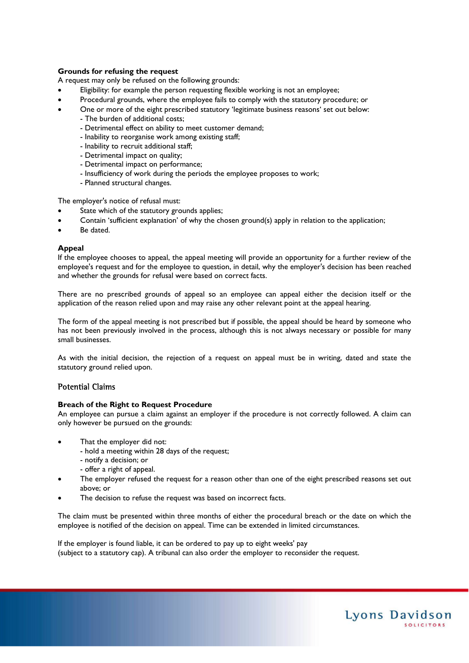# **Grounds for refusing the request**

A request may only be refused on the following grounds:

- Eligibility: for example the person requesting flexible working is not an employee;
- Procedural grounds, where the employee fails to comply with the statutory procedure; or
- One or more of the eight prescribed statutory 'legitimate business reasons' set out below:
	- The burden of additional costs;
	- Detrimental effect on ability to meet customer demand;
	- Inability to reorganise work among existing staff;
	- Inability to recruit additional staff;
	- Detrimental impact on quality;
	- Detrimental impact on performance;
	- Insufficiency of work during the periods the employee proposes to work;
	- Planned structural changes.

The employer's notice of refusal must:

- State which of the statutory grounds applies;
- Contain 'sufficient explanation' of why the chosen ground(s) apply in relation to the application;
- Be dated.

#### **Appeal**

If the employee chooses to appeal, the appeal meeting will provide an opportunity for a further review of the employee's request and for the employee to question, in detail, why the employer's decision has been reached and whether the grounds for refusal were based on correct facts.

There are no prescribed grounds of appeal so an employee can appeal either the decision itself or the application of the reason relied upon and may raise any other relevant point at the appeal hearing.

The form of the appeal meeting is not prescribed but if possible, the appeal should be heard by someone who has not been previously involved in the process, although this is not always necessary or possible for many small businesses.

As with the initial decision, the rejection of a request on appeal must be in writing, dated and state the statutory ground relied upon.

# Potential Claims

#### **Breach of the Right to Request Procedure**

An employee can pursue a claim against an employer if the procedure is not correctly followed. A claim can only however be pursued on the grounds:

- That the employer did not:
	- hold a meeting within 28 days of the request;
	- notify a decision; or
	- offer a right of appeal.
- The employer refused the request for a reason other than one of the eight prescribed reasons set out above; or
- The decision to refuse the request was based on incorrect facts.

The claim must be presented within three months of either the procedural breach or the date on which the employee is notified of the decision on appeal. Time can be extended in limited circumstances.

If the employer is found liable, it can be ordered to pay up to eight weeks' pay (subject to a statutory cap). A tribunal can also order the employer to reconsider the request.